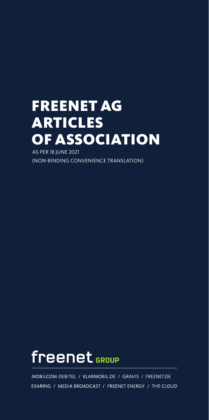## FREENET AG ARTICLES OF ASSOCIATION

AS PER 18 JUNE 2021 (NON-BINDING CONVENIENCE TRANSLATION)

# freenet GROUP

MOBILCOM-DEBITEL / KLARMOBIL.DE / GRAVIS / FREENET.DE EXARING / MEDIA BROADCAST / FREENET ENERGY / THE CLOUD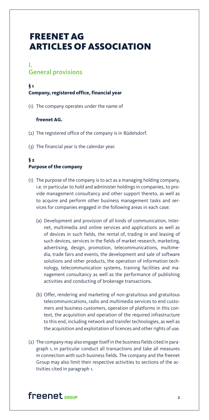### FREENET AG ARTICLES OF ASSOCIATION

### I. General provisions

### **§ 1 Company, registered office, financial year**

(1) The company operates under the name of

#### **freenet AG.**

- (2) The registered office of the company is in Büdelsdorf.
- (3) The financial year is the calendar year.

### **§ 2 Purpose of the company**

- (1) The purpose of the company is to act as a managing holding company, i.e. in particular to hold and administer holdings in companies, to provide management consultancy and other support thereto, as well as to acquire and perform other business management tasks and services for companies engaged in the following areas in each case:
	- (a) Development and provision of all kinds of communication, Internet, multimedia and online services and applications as well as of devices in such fields, the rental of, trading in and leasing of such devices, services in the fields of market research, marketing, advertising, design, promotion, telecommunications, multimedia, trade fairs and events, the development and sale of software solutions and other products, the operation of information technology, telecommunication systems, training facilities and management consultancy as well as the performance of publishing activities and conducting of brokerage transactions.
	- (b) Offer, rendering and marketing of non-gratuitous and gratuitous telecommunications, radio and multimedia services to end customers and business customers, operation of platforms in this context, the acquisition and operation of the required infrastructure to this end, including network and transfer technologies, as well as the acquisition and exploitation of licences and other rights of use.
- (2) The company may also engage itself in the business fields cited in paragraph 1, in particular conduct all transactions and take all measures in connection with such business fields. The company and the freenet Group may also limit their respective activities to sections of the activities cited in paragraph 1.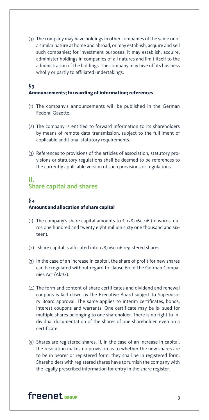(3) The company may have holdings in other companies of the same or of a similar nature at home and abroad, or may establish, acquire and sell such companies; for investment purposes, it may establish, acquire, administer holdings in companies of all natures and limit itself to the administration of the holdings. The company may hive off its business wholly or partly to affiliated undertakings.

#### **§ 3 Announcements; forwarding of information; references**

- (1) The company's announcements will be published in the German Federal Gazette.
- (2) The company is entitled to forward information to its shareholders by means of remote data transmission, subject to the fulfilment of applicable additional statutory requirements.
- (3) References to provisions of the articles of association, statutory provisions or statutory regulations shall be deemed to be references to the currently applicable version of such provisions or regulations.

### II. Share capital and shares

### **§ 4 Amount and allocation of share capital**

- (1) The company's share capital amounts to  $\epsilon$  128,061,016 (in words: euros one hundred and twenty eight million sixty one thousand and sixteen).
- (2) Share capital is allocated into 128,061,016 registered shares.
- (3) In the case of an increase in capital, the share of profit for new shares can be regulated without regard to clause 60 of the German Companies Act (AktG).
- (4) The form and content of share certificates and dividend and renewal coupons is laid down by the Executive Board subject to Supervisory Board approval. The same applies to interim certificates, bonds, interest coupons and warrants. One certificate may be is- sued for multiple shares belonging to one shareholder. There is no right to individual documentation of the shares of one shareholder, even on a certificate.
- (5) Shares are registered shares. If, in the case of an increase in capital, the resolution makes no provision as to whether the new shares are to be in bearer or registered form, they shall be in registered form. Shareholders with registered shares have to furnish the company with the legally prescribed information for entry in the share register.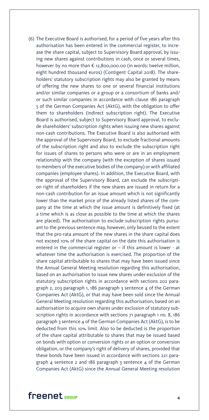(6) The Executive Board is authorised, for a period of five years after this authorisation has been entered in the commercial register, to increase the share capital, subject to Supervisory Board approval, by issuing new shares against contributions in cash, once or several times, however by no more than € 12,800,000.00 (in words: twelve million, eight hundred thousand euros) (Contigent Capital 2018). The shareholders' statutory subscription rights may also be granted by means of offering the new shares to one or several financial institutions and/or similar companies or a group or a consortium of banks and/ or such similar companies in accordance with clause 186 paragraph 5 of the German Companies Act (AktG), with the obligation to offer them to shareholders (indirect subscription right). The Executive Board is authorised, subject to Supervisory Board approval, to exclude shareholders' subscription rights when issuing new shares against non-cash contributions. The Executive Board is also authorised with the approval of the Supervisory Board, to exclude fractional amounts of the subscription right and also to exclude the subscription right for issues of shares to persons who were or are in an employment relationship with the company (with the exception of shares issued to members of the executive bodies of the company) or with affiliated companies (employee shares). In addition, the Executive Board, with the approval of the Supervisory Board, can exclude the subscription right of shareholders if the new shares are issued in return for a non-cash contribution for an issue amount which is not significantly lower than the market price of the already listed shares of the company at the time at which the issue amount is definitively fixed (at a time which is as close as possible to the time at which the shares are placed). The authorisation to exclude subscription rights pursuant to the previous sentence may, however, only beused to the extent that the pro-rata amount of the new shares in the share capital does not exceed 10% of the share capital on the date this authorisation is entered in the commercial register or – if this amount is lower - at whatever time the authorisation is exercised. The proportion of the share capital attributable to shares that may have been issued since the Annual General Meeting resolution regarding this authorisation, based on an authorisation to issue new shares under exclusion of the statutory subscription rights in accordance with sections 202 paragraph 2, 203 paragraph 1, 186 paragraph 3 sentence 4 of the German Companies Act (AktG), or that may have been sold since the Annual General Meeting resolution regarding this authorisation, based on an authorisation to acquire own shares under exclusion of statutory subscription rights in accordance with sections 71 paragraph 1 no. 8, 186 paragraph 3 sentence 4 of the German Companies Act (AktG), is to be deducted from this 10% limit. Also to be deducted is the proportion of the share capital attributable to shares that may be issued based on bonds with option or conversion rights or an option or conversion obligation, or the company's right of delivery of shares, provided that these bonds have been issued in accordance with sections 221 paragraph 4 sentence 2 and 186 paragraph 3 sentence 4 of the German Companies Act (AktG) since the Annual General Meeting resolution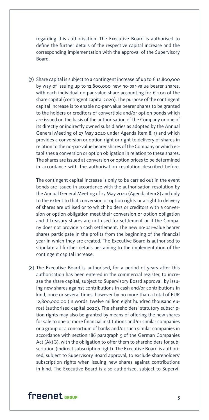regarding this authorisation. The Executive Board is authorised to define the further details of the respective capital increase and the corresponding implementation with the approval of the Supervisory Board.

(7) Share capital is subject to a contingent increase of up to € 12,800,000 by way of issuing up to 12,800,000 new no-par-value bearer shares, with each individual no-par-value share accounting for € 1.00 of the share capital (contingent capital 2020). The purpose of the contingent capital increase is to enable no-par-value bearer shares to be granted to the holders or creditors of convertible and/or option bonds which are issued on the basis of the authorisation of the Company or one of its directly or indirectly owned subsidiaries as adopted by the Annual General Meeting of 27 May 2020 under Agenda item 8, 1) and which provides a conversion or option right or right to delivery of shares in relation to the no-par-value bearer shares of the Company or which establishes a conversion or option obligation in relation to these shares. The shares are issued at conversion or option prices to be determined in accordance with the authorisation resolution described before.

The contingent capital increase is only to be carried out in the event bonds are issued in accordance with the authorisation resolution by the Annual General Meeting of 27 May 2020 (Agenda item 8) and only to the extent to that conversion or option rights or a right to delivery of shares are utilised or to which holders or creditors with a conversion or option obligation meet their conversion or option obligation and if treasury shares are not used for settlement or if the Company does not provide a cash settlement. The new no-par-value bearer shares participate in the profits from the beginning of the financial year in which they are created. The Executive Board is authorised to stipulate all further details pertaining to the implementation of the contingent capital increase.

(8) The Executive Board is authorised, for a period of years after this authorisation has been entered in the commercial register, to increase the share capital, subject to Supervisory Board approval, by issuing new shares against contributions in cash and/or contributions in kind, once or several times, however by no more than a total of EUR 12,800,000.00 (in words: twelve million eight hundred thousand euros) (authorised capital 2020). The shareholders' statutory subscription rights may also be granted by means of offering the new shares for sale to one or more financial institutions and/or similar companies or a group or a consortium of banks and/or such similar companies in accordance with section 186 paragraph 5 of the German Companies Act (AktG), with the obligation to offer them to shareholders for subscription (indirect subscription right). The Executive Board is authorised, subject to Supervisory Board approval, to exclude shareholders' subscription rights when issuing new shares against contributions in kind. The Executive Board is also authorised, subject to Supervi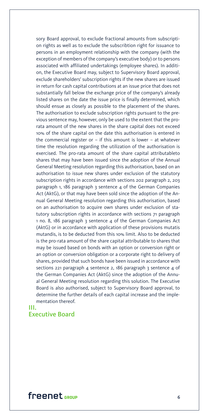sory Board approval, to exclude fractional amounts from subscription rights as well as to exclude the subscribtion right for issuance to persons in an employment relationship with the company (with the exception of members of the company's executive body) or to persons associated with affiliated undertakings (employee shares). In addition, the Executive Board may, subject to Supervisory Board approval, exclude shareholders' subscription rights if the new shares are issued in return for cash capital contributions at an issue price that does not substantially fall below the exchange price of the company's already listed shares on the date the issue price is finally determined, which should ensue as closely as possible to the placement of the shares. The authorisation to exclude subscription rights pursuant to the previous sentence may, however, only be used to the extent that the prorata amount of the new shares in the share capital does not exceed 10% of the share capital on the date this authorisation is entered in the commercial register or – if this amount is lower – at whatever time the resolution regarding the utilization of the authorisation is exercised. The pro-rata amount of the share capital attributableto shares that may have been issued since the adoption of the Annual General Meeting resolution regarding this authorisation, based on an authorisation to issue new shares under exclusion of the statutory subscription rights in accordance with sections 202 paragraph 2, 203 paragraph 1, 186 paragraph 3 sentence 4 of the German Companies Act (AktG), or that may have been sold since the adoption of the Annual General Meeting resolution regarding this authorisation, based on an authorisation to acquire own shares under exclusion of statutory subscription rights in accordance with sections 71 paragraph 1 no. 8, 186 paragraph 3 sentence 4 of the German Companies Act (AktG) or in accordance with application of these provisions mutatis mutandis, is to be deducted from this 10% limit. Also to be deducted is the pro-rata amount of the share capital attributable to shares that may be issued based on bonds with an option or conversion right or an option or conversion obligation or a corporate right to delivery of shares, provided that such bonds have been issued in accordance with sections 221 paragraph 4 sentence 2, 186 paragraph 3 sentence 4 of the German Companies Act (AktG) since the adoption of the Annual General Meeting resolution regarding this solution. The Executive Board is also authorised, subject to Supervisory Board approval, to determine the further details of each capital increase and the implementation thereof.

### III. Executive Board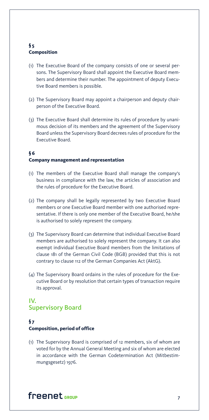### **§ 5 Composition**

- (1) The Executive Board of the company consists of one or several persons. The Supervisory Board shall appoint the Executive Board members and determine their number. The appointment of deputy Executive Board members is possible.
- (2) The Supervisory Board may appoint a chairperson and deputy chairperson of the Executive Board.
- (3) The Executive Board shall determine its rules of procedure by unanimous decision of its members and the agreement of the Supervisory Board unless the Supervisory Board decrees rules of procedure for the Executive Board.

### **§ 6 Company management and representation**

- (1) The members of the Executive Board shall manage the company's business in compliance with the law, the articles of association and the rules of procedure for the Executive Board.
- (2) The company shall be legally represented by two Executive Board members or one Executive Board member with one authorised representative. If there is only one member of the Executive Board, he/she is authorised to solely represent the company.
- (3) The Supervisory Board can determine that individual Executive Board members are authorised to solely represent the company. It can also exempt individual Executive Board members from the limitations of clause 181 of the German Civil Code (BGB) provided that this is not contrary to clause 112 of the German Companies Act (AktG).
- (4) The Supervisory Board ordains in the rules of procedure for the Executive Board or by resolution that certain types of transaction require its approval.

### IV. Supervisory Board

### **§ 7 Composition, period of office**

(1) The Supervisory Board is comprised of 12 members, six of whom are voted for by the Annual General Meeting and six of whom are elected in accordance with the German Codetermination Act (Mitbestimmungsgesetz) 1976.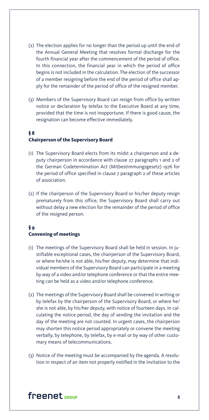- (2) The election applies for no longer than the period up until the end of the Annual General Meeting that resolves formal discharge for the fourth financial year after the commencement of the period of office. In this connection, the financial year in which the period of office begins is not included in the calculation. The election of the successor of a member resigning before the end of the period of office shall apply for the remainder of the period of office of the resigned member.
- (3) Members of the Supervisory Board can resign from office by written notice or declaration by telefax to the Executive Board at any time, provided that the time is not inopportune. If there is good cause, the resignation can become effective immediately.

### **§ 8 Chairperson of the Supervisory Board**

- (1) The Supervisory Board elects from its midst a chairperson and a deputy chairperson in accordance with clause 27 paragraphs 1 and 2 of the German Codetermination Act (Mitbestimmungsgesetz) 1976 for the period of office specified in clause 7 paragraph 2 of these articles of association.
- (2) If the chairperson of the Supervisory Board or his/her deputy resign prematurely from this office, the Supervisory Board shall carry out without delay a new election for the remainder of the period of office of the resigned person.

### **§ 9 Convening of meetings**

- (1) The meetings of the Supervisory Board shall be held in session. In justifiable exceptional cases, the chairperson of the Supervisory Board, or where he/she is not able, his/her deputy, may determine that individual members of the Supervisory Board can participate in a meeting by way of a video and/or telephone conference or that the entire meeting can be held as a video and/or telephone conference.
- (2) The meetings of the Supervisory Board shall be convened in writing or by telefax by the chairperson of the Supervisory Board, or where he/ she is not able, by his/her deputy, with notice of fourteen days. In calculating the notice period, the day of sending the invitation and the day of the meeting are not counted. In urgent cases, the chairperson may shorten this notice period appropriately or convene the meeting verbally, by telephone, by telefax, by e-mail or by way of other customary means of telecommunications.
- (3) Notice of the meeting must be accompanied by the agenda. A resolution in respect of an item not properly notified in the invitation to the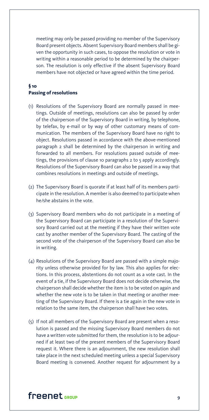meeting may only be passed providing no member of the Supervisory Board present objects. Absent Supervisory Board members shall be given the opportunity in such cases, to oppose the resolution or vote in writing within a reasonable period to be determined by the chairperson. The resolution is only effective if the absent Supervisory Board members have not objected or have agreed within the time period.

### **§ 10 Passing of resolutions**

- (1) Resolutions of the Supervisory Board are normally passed in meetings. Outside of meetings, resolutions can also be passed by order of the chairperson of the Supervisory Board in writing, by telephone, by telefax, by e-mail or by way of other customary means of communication. The members of the Supervisory Board have no right to object. Resolutions passed in accordance with the above-mentioned paragraph 2 shall be determined by the chairperson in writing and forwarded to all members. For resolutions passed outside of meetings, the provisions of clause 10 paragraphs 2 to 5 apply accordingly. Resolutions of the Supervisory Board can also be passed in a way that combines resolutions in meetings and outside of meetings.
- (2) The Supervisory Board is quorate if at least half of its members participate in the resolution. A member is also deemed to participate when he/she abstains in the vote.
- (3) Supervisory Board members who do not participate in a meeting of the Supervisory Board can participate in a resolution of the Supervisory Board carried out at the meeting if they have their written vote cast by another member of the Supervisory Board. The casting of the second vote of the chairperson of the Supervisory Board can also be in writing.
- (4) Resolutions of the Supervisory Board are passed with a simple majority unless otherwise provided for by law. This also applies for elections. In this process, abstentions do not count as a vote cast. In the event of a tie, if the Supervisory Board does not decide otherwise, the chairperson shall decide whether the item is to be voted on again and whether the new vote is to be taken in that meeting or another meeting of the Supervisory Board. If there is a tie again in the new vote in relation to the same item, the chairperson shall have two votes.
- (5) If not all members of the Supervisory Board are present when a resolution is passed and the missing Supervisory Board members do not have a written vote submitted for them, the resolution is to be adjourned if at least two of the present members of the Supervisory Board request it. Where there is an adjournment, the new resolution shall take place in the next scheduled meeting unless a special Supervisory Board meeting is convened. Another request for adjournment by a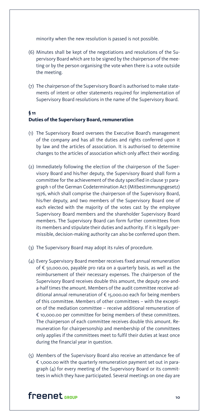minority when the new resolution is passed is not possible.

- (6) Minutes shall be kept of the negotiations and resolutions of the Supervisory Board which are to be signed by the chairperson of the meeting or by the person organising the vote when there is a vote outside the meeting.
- (7) The chairperson of the Supervisory Board is authorised to make statements of intent or other statements required for implementation of Supervisory Board resolutions in the name of the Supervisory Board.

### **§ 11 Duties of the Supervisory Board, remuneration**

- (1) The Supervisory Board oversees the Executive Board's management of the company and has all the duties and rights conferred upon it by law and the articles of association. It is authorised to determine changes to the articles of association which only affect their wording.
- (2) Immediately following the election of the chairperson of the Supervisory Board and his/her deputy, the Supervisory Board shall form a committee for the achievement of the duty specified in clause 31 paragraph 1 of the German Codetermination Act (Mitbestimmungsgesetz) 1976, which shall comprise the chairperson of the Supervisory Board, his/her deputy, and two members of the Supervisory Board one of each elected with the majority of the votes cast by the employee Supervisory Board members and the shareholder Supervisory Board members. The Supervisory Board can form further committees from its members and stipulate their duties and authority. If it is legally permissible, decision-making authority can also be conferred upon them.
- (3) The Supervisory Board may adopt its rules of procedure.
- (4) Every Supervisory Board member receives fixed annual remuneration of € 50,000.00, payable pro rata on a quarterly basis, as well as the reimbursement of their necessary expenses. The chairperson of the Supervisory Board receives double this amount, the deputy one-anda-half times the amount. Members of the audit committee receive additional annual remuneration of € 15,000.00 each for being members of this committee. Members of other committees – with the exception of the mediation committee – receive additional remuneration of € 10,000.00 per committee for being members of these committees. The chairperson of each committee receives double this amount. Remuneration for chairpersonship and membership of the committees only applies if the committees meet to fulfil their duties at least once during the financial year in question.
- (5) Members of the Supervisory Board also receive an attendance fee of € 1,000.00 with the quarterly remuneration payment set out in paragraph (4) for every meeting of the Supervisory Board or its committees in which they have participated. Several meetings on one day are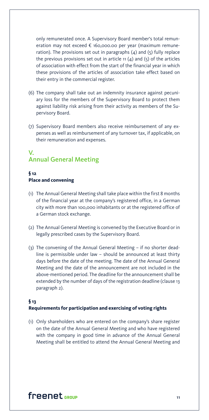only remunerated once. A Supervisory Board member's total remuneration may not exceed € 160,000.00 per year (maximum remuneration). The provisions set out in paragraphs  $(4)$  and  $(5)$  fully replace the previous provisions set out in article  $11 (4)$  and  $(5)$  of the articles of association with effect from the start of the financial year in which these provisions of the articles of association take effect based on their entry in the commercial register.

- (6) The company shall take out an indemnity insurance against pecuniary loss for the members of the Supervisory Board to protect them against liability risk arising from their activity as members of the Supervisory Board.
- (7) Supervisory Board members also receive reimbursement of any expenses as well as reimbursement of any turnover tax, if applicable, on their remuneration and expenses.

### V. Annual General Meeting

### **§ 12 Place and convening**

- (1) The Annual General Meeting shall take place within the first 8 months of the financial year at the company's registered office, in a German city with more than 100,000 inhabitants or at the registered office of a German stock exchange.
- (2) The Annual General Meeting is convened by the Executive Board or in legally prescribed cases by the Supervisory Board.
- (3) The convening of the Annual General Meeting if no shorter deadline is permissible under law – should be announced at least thirty days before the date of the meeting. The date of the Annual General Meeting and the date of the announcement are not included in the above-mentioned period. The deadline for the announcement shall be extended by the number of days of the registration deadline (clause 13 paragraph 2).

### **§ 13 Requirements for participation and exercising of voting rights**

(1) Only shareholders who are entered on the company's share register on the date of the Annual General Meeting and who have registered with the company in good time in advance of the Annual General Meeting shall be entitled to attend the Annual General Meeting and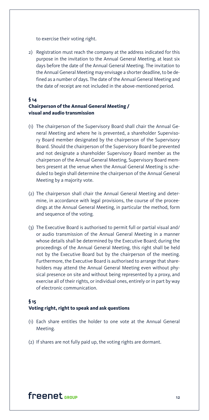to exercise their voting right.

2) Registration must reach the company at the address indicated for this purpose in the invitation to the Annual General Meeting, at least six days before the date of the Annual General Meeting. The invitation to the Annual General Meeting may envisage a shorter deadline, to be defined as a number of days. The date of the Annual General Meeting and the date of receipt are not included in the above-mentioned period.

#### **§ 14 Chairperson of the Annual General Meeting / visual and audio transmission**

- (1) The chairperson of the Supervisory Board shall chair the Annual General Meeting and where he is prevented, a shareholder Supervisory Board member designated by the chairperson of the Supervisory Board. Should the chairperson of the Supervisory Board be prevented and not designate a shareholder Supervisory Board member as the chairperson of the Annual General Meeting, Supervisory Board members present at the venue when the Annual General Meeting is scheduled to begin shall determine the chairperson of the Annual General Meeting by a majority vote.
- (2) The chairperson shall chair the Annual General Meeting and determine, in accordance with legal provisions, the course of the proceedings at the Annual General Meeting, in particular the method, form and sequence of the voting.
- (3) The Executive Board is authorised to permit full or partial visual and/ or audio transmission of the Annual General Meeting in a manner whose details shall be determined by the Executive Board; during the proceedings of the Annual General Meeting, this right shall be held not by the Executive Board but by the chairperson of the meeting. Furthermore, the Executive Board is authorised to arrange that shareholders may attend the Annual General Meeting even without physical presence on site and without being represented by a proxy, and exercise all of their rights, or individual ones, entirely or in part by way of electronic communication.

### **§ 15 Voting right, right to speak and ask questions**

- (1) Each share entitles the holder to one vote at the Annual General Meeting.
- (2) If shares are not fully paid up, the voting rights are dormant.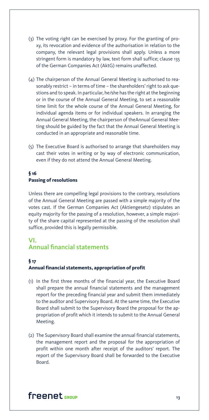- (3) The voting right can be exercised by proxy. For the granting of proxy, its revocation and evidence of the authorisation in relation to the company, the relevant legal provisions shall apply. Unless a more stringent form is mandatory by law, text form shall suffice; clause 135 of the German Companies Act (AktG) remains unaffected.
- (4) The chairperson of the Annual General Meeting is authorised to reasonably restrict – in terms of time – the shareholders' right to ask questions and to speak. In particular, he/she has the right at the beginning or in the course of the Annual General Meeting, to set a reasonable time limit for the whole course of the Annual General Meeting, for individual agenda items or for individual speakers. In arranging the Annual General Meeting, the chairperson of theAnnual General Meeting should be guided by the fact that the Annual General Meeting is conducted in an appropriate and reasonable time.
- (5) The Executive Board is authorised to arrange that shareholders may cast their votes in writing or by way of electronic communication, even if they do not attend the Annual General Meeting.

### **§ 16 Passing of resolutions**

 Unless there are compelling legal provisions to the contrary, resolutions of the Annual General Meeting are passed with a simple majority of the votes cast. If the German Companies Act (Aktiengesetz) stipulates an equity majority for the passing of a resolution, however, a simple majority of the share capital represented at the passing of the resolution shall suffice, provided this is legally permissible.

### VI. Annual financial statements

#### **§ 17**

### **Annual financial statements, appropriation of profit**

- (1) In the first three months of the financial year, the Executive Board shall prepare the annual financial statements and the management report for the preceding financial year and submit them immediately to the auditor and Supervisory Board. At the same time, the Executive Board shall submit to the Supervisory Board the proposal for the appropriation of profit which it intends to submit to the Annual General Meeting.
- (2) The Supervisory Board shall examine the annual financial statements, the management report and the proposal for the appropriation of profit within one month after receipt of the auditors' report. The report of the Supervisory Board shall be forwarded to the Executive Board.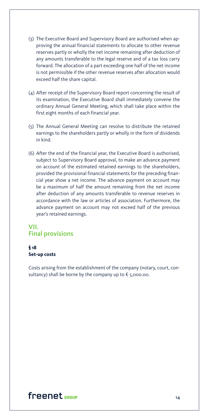- (3) The Executive Board and Supervisory Board are authorised when approving the annual financial statements to allocate to other revenue reserves partly or wholly the net income remaining after deduction of any amounts transferable to the legal reserve and of a tax loss carry forward. The allocation of a part exceeding one half of the net income is not permissible if the other revenue reserves after allocation would exceed half the share capital.
- (4) After receipt of the Supervisory Board report concerning the result of its examination, the Executive Board shall immediately convene the ordinary Annual General Meeting, which shall take place within the first eight months of each financial year.
- (5) The Annual General Meeting can resolve to distribute the retained earnings to the shareholders partly or wholly in the form of dividends in kind.
- (6) After the end of the financial year, the Executive Board is authorised, subject to Supervisory Board approval, to make an advance payment on account of the estimated retained earnings to the shareholders, provided the provisional financial statements for the preceding financial year show a net income. The advance payment on account may be a maximum of half the amount remaining from the net income after deduction of any amounts transferable to revenue reserves in accordance with the law or articles of association. Furthermore, the advance payment on account may not exceed half of the previous year's retained earnings.

### VII. Final provisions

### **§ 18 Set-up costs**

 Costs arising from the establishment of the company (notary, court, consultancy) shall be borne by the company up to  $\epsilon$  5,000.00.